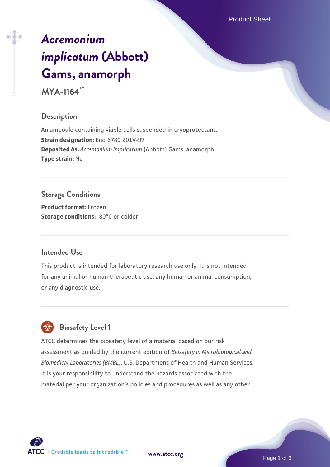Product Sheet

# *[Acremonium](https://www.atcc.org/products/mya-1164) [implicatum](https://www.atcc.org/products/mya-1164)* **[\(Abbott\)](https://www.atcc.org/products/mya-1164) [Gams, anamorph](https://www.atcc.org/products/mya-1164)**

**MYA-1164™**

# **Description**

An ampoule containing viable cells suspended in cryoprotectant. **Strain designation:** End 6780 201V-97 **Deposited As:** *Acremonium implicatum* (Abbott) Gams, anamorph **Type strain:** No

# **Storage Conditions**

**Product format:** Frozen **Storage conditions: -80°C** or colder

# **Intended Use**

This product is intended for laboratory research use only. It is not intended for any animal or human therapeutic use, any human or animal consumption, or any diagnostic use.



# **Biosafety Level 1**

ATCC determines the biosafety level of a material based on our risk assessment as guided by the current edition of *Biosafety in Microbiological and Biomedical Laboratories (BMBL)*, U.S. Department of Health and Human Services. It is your responsibility to understand the hazards associated with the material per your organization's policies and procedures as well as any other

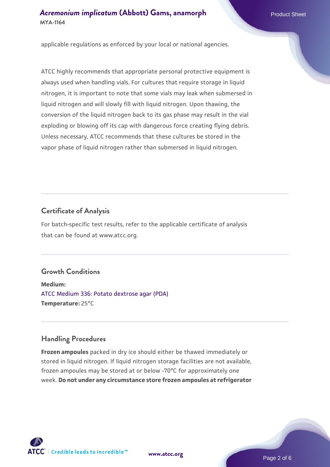applicable regulations as enforced by your local or national agencies.

ATCC highly recommends that appropriate personal protective equipment is always used when handling vials. For cultures that require storage in liquid nitrogen, it is important to note that some vials may leak when submersed in liquid nitrogen and will slowly fill with liquid nitrogen. Upon thawing, the conversion of the liquid nitrogen back to its gas phase may result in the vial exploding or blowing off its cap with dangerous force creating flying debris. Unless necessary, ATCC recommends that these cultures be stored in the vapor phase of liquid nitrogen rather than submersed in liquid nitrogen.

# **Certificate of Analysis**

For batch-specific test results, refer to the applicable certificate of analysis that can be found at www.atcc.org.

# **Growth Conditions**

**Medium:**  [ATCC Medium 336: Potato dextrose agar \(PDA\)](https://www.atcc.org/-/media/product-assets/documents/microbial-media-formulations/3/3/6/atcc-medium-336.pdf?rev=d9160ad44d934cd8b65175461abbf3b9) **Temperature:** 25°C

### **Handling Procedures**

**Frozen ampoules** packed in dry ice should either be thawed immediately or stored in liquid nitrogen. If liquid nitrogen storage facilities are not available, frozen ampoules may be stored at or below -70°C for approximately one week. **Do not under any circumstance store frozen ampoules at refrigerator**



**[www.atcc.org](http://www.atcc.org)**

Page 2 of 6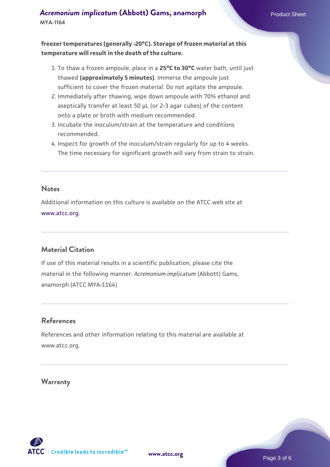**freezer temperatures (generally -20°C). Storage of frozen material at this temperature will result in the death of the culture.**

- 1. To thaw a frozen ampoule, place in a **25°C to 30°C** water bath, until just thawed **(approximately 5 minutes)**. Immerse the ampoule just sufficient to cover the frozen material. Do not agitate the ampoule.
- 2. Immediately after thawing, wipe down ampoule with 70% ethanol and aseptically transfer at least 50 µL (or 2-3 agar cubes) of the content onto a plate or broth with medium recommended.
- 3. Incubate the inoculum/strain at the temperature and conditions recommended.
- 4. Inspect for growth of the inoculum/strain regularly for up to 4 weeks. The time necessary for significant growth will vary from strain to strain.

#### **Notes**

Additional information on this culture is available on the ATCC web site at [www.atcc.org.](http://www.atcc.org/)

# **Material Citation**

If use of this material results in a scientific publication, please cite the material in the following manner: *Acremonium implicatum* (Abbott) Gams, anamorph (ATCC MYA-1164)

# **References**

References and other information relating to this material are available at www.atcc.org.

### **Warranty**

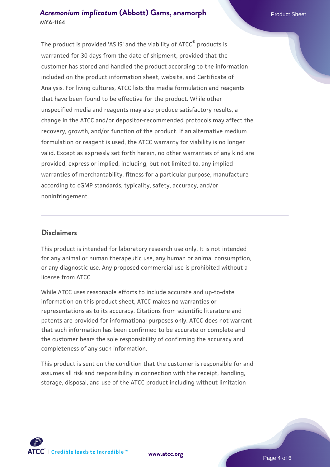The product is provided 'AS IS' and the viability of ATCC® products is warranted for 30 days from the date of shipment, provided that the customer has stored and handled the product according to the information included on the product information sheet, website, and Certificate of Analysis. For living cultures, ATCC lists the media formulation and reagents that have been found to be effective for the product. While other unspecified media and reagents may also produce satisfactory results, a change in the ATCC and/or depositor-recommended protocols may affect the recovery, growth, and/or function of the product. If an alternative medium formulation or reagent is used, the ATCC warranty for viability is no longer valid. Except as expressly set forth herein, no other warranties of any kind are provided, express or implied, including, but not limited to, any implied warranties of merchantability, fitness for a particular purpose, manufacture according to cGMP standards, typicality, safety, accuracy, and/or noninfringement.

# **Disclaimers**

This product is intended for laboratory research use only. It is not intended for any animal or human therapeutic use, any human or animal consumption, or any diagnostic use. Any proposed commercial use is prohibited without a license from ATCC.

While ATCC uses reasonable efforts to include accurate and up-to-date information on this product sheet, ATCC makes no warranties or representations as to its accuracy. Citations from scientific literature and patents are provided for informational purposes only. ATCC does not warrant that such information has been confirmed to be accurate or complete and the customer bears the sole responsibility of confirming the accuracy and completeness of any such information.

This product is sent on the condition that the customer is responsible for and assumes all risk and responsibility in connection with the receipt, handling, storage, disposal, and use of the ATCC product including without limitation



**[www.atcc.org](http://www.atcc.org)**

Page 4 of 6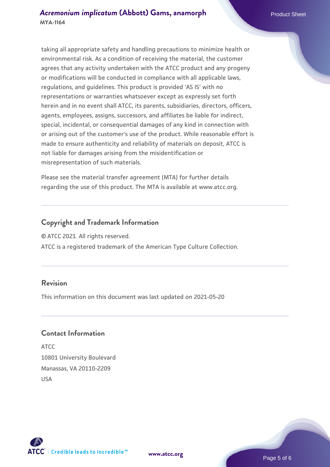taking all appropriate safety and handling precautions to minimize health or environmental risk. As a condition of receiving the material, the customer agrees that any activity undertaken with the ATCC product and any progeny or modifications will be conducted in compliance with all applicable laws, regulations, and guidelines. This product is provided 'AS IS' with no representations or warranties whatsoever except as expressly set forth herein and in no event shall ATCC, its parents, subsidiaries, directors, officers, agents, employees, assigns, successors, and affiliates be liable for indirect, special, incidental, or consequential damages of any kind in connection with or arising out of the customer's use of the product. While reasonable effort is made to ensure authenticity and reliability of materials on deposit, ATCC is not liable for damages arising from the misidentification or misrepresentation of such materials.

Please see the material transfer agreement (MTA) for further details regarding the use of this product. The MTA is available at www.atcc.org.

# **Copyright and Trademark Information**

© ATCC 2021. All rights reserved.

ATCC is a registered trademark of the American Type Culture Collection.

# **Revision**

This information on this document was last updated on 2021-05-20

# **Contact Information**

ATCC 10801 University Boulevard Manassas, VA 20110-2209 USA